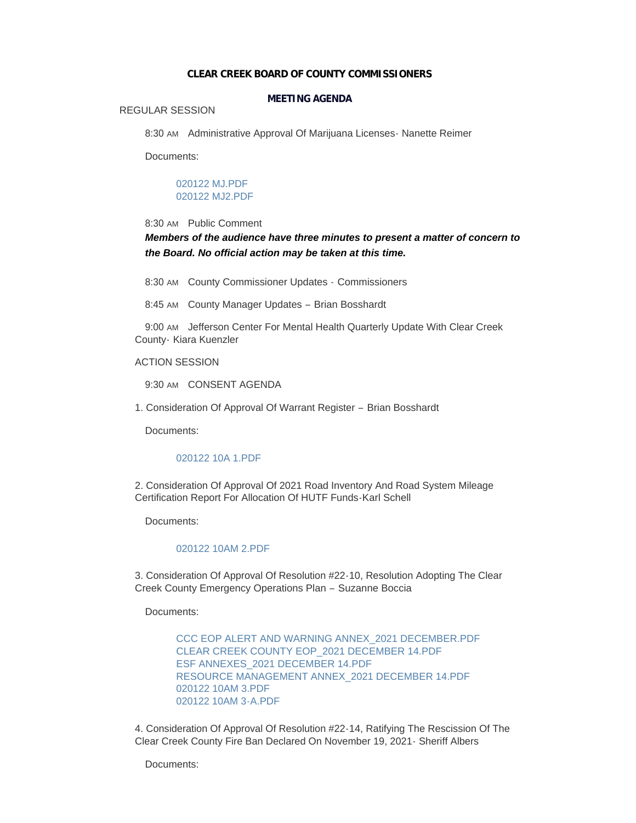#### **CLEAR CREEK BOARD OF COUNTY COMMISSIONERS**

### **MEETING AGENDA**

#### REGULAR SESSION

8:30 AM Administrative Approval Of Marijuana Licenses - Nanette Reimer

Documents:

### [020122 MJ.PDF](https://www.clearcreekcounty.us/AgendaCenter/ViewFile/Item/6713?fileID=10170) [020122 MJ2.PDF](https://www.clearcreekcounty.us/AgendaCenter/ViewFile/Item/6713?fileID=10171)

# 8:30 AM Public Comment

# *Members of the audience have three minutes to present a matter of concern to the Board. No official action may be taken at this time.*

8:30 AM County Commissioner Updates - Commissioners

8:45 AM County Manager Updates - Brian Bosshardt

9:00 AM Jefferson Center For Mental Health Quarterly Update With Clear Creek County- Kiara Kuenzler

### ACTION SESSION

9:30 AM CONSENT AGENDA

1. Consideration Of Approval Of Warrant Register – Brian Bosshardt

Documents:

### [020122 10A 1.PDF](https://www.clearcreekcounty.us/AgendaCenter/ViewFile/Item/6719?fileID=10174)

2. Consideration Of Approval Of 2021 Road Inventory And Road System Mileage Certification Report For Allocation Of HUTF Funds-Karl Schell

Documents:

### [020122 10AM 2.PDF](https://www.clearcreekcounty.us/AgendaCenter/ViewFile/Item/6720?fileID=10175)

3. Consideration Of Approval Of Resolution #22-10, Resolution Adopting The Clear Creek County Emergency Operations Plan – Suzanne Boccia

Documents:

[CCC EOP ALERT AND WARNING ANNEX\\_2021 DECEMBER.PDF](https://www.clearcreekcounty.us/AgendaCenter/ViewFile/Item/6744?fileID=10201) [CLEAR CREEK COUNTY EOP\\_2021 DECEMBER 14.PDF](https://www.clearcreekcounty.us/AgendaCenter/ViewFile/Item/6744?fileID=10202) [ESF ANNEXES\\_2021 DECEMBER 14.PDF](https://www.clearcreekcounty.us/AgendaCenter/ViewFile/Item/6744?fileID=10203) [RESOURCE MANAGEMENT ANNEX\\_2021 DECEMBER 14.PDF](https://www.clearcreekcounty.us/AgendaCenter/ViewFile/Item/6744?fileID=10204) [020122 10AM 3.PDF](https://www.clearcreekcounty.us/AgendaCenter/ViewFile/Item/6744?fileID=10205) [020122 10AM 3-A.PDF](https://www.clearcreekcounty.us/AgendaCenter/ViewFile/Item/6744?fileID=10206)

4. Consideration Of Approval Of Resolution #22-14, Ratifying The Rescission Of The Clear Creek County Fire Ban Declared On November 19, 2021- Sheriff Albers

Documents: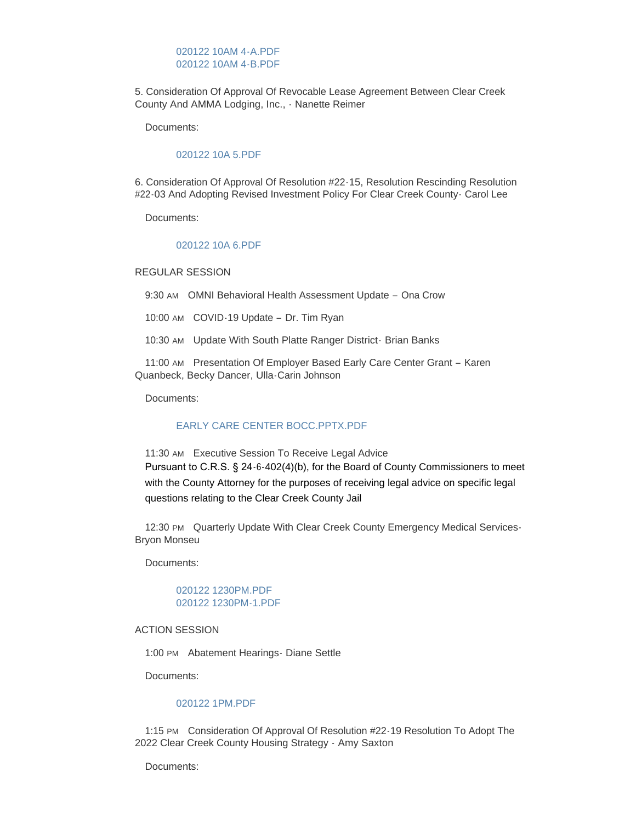### [020122 10AM 4-A.PDF](https://www.clearcreekcounty.us/AgendaCenter/ViewFile/Item/6722?fileID=10181) [020122 10AM 4-B.PDF](https://www.clearcreekcounty.us/AgendaCenter/ViewFile/Item/6722?fileID=10182)

5. Consideration Of Approval Of Revocable Lease Agreement Between Clear Creek County And AMMA Lodging, Inc., - Nanette Reimer

Documents:

#### [020122 10A 5.PDF](https://www.clearcreekcounty.us/AgendaCenter/ViewFile/Item/6738?fileID=10189)

6. Consideration Of Approval Of Resolution #22-15, Resolution Rescinding Resolution #22-03 And Adopting Revised Investment Policy For Clear Creek County- Carol Lee

Documents:

#### [020122 10A 6.PDF](https://www.clearcreekcounty.us/AgendaCenter/ViewFile/Item/6739?fileID=10190)

REGULAR SESSION

9:30 AM OMNI Behavioral Health Assessment Update - Ona Crow

10:00 AM COVID-19 Update – Dr. Tim Ryan

10:30 AM Update With South Platte Ranger District- Brian Banks

11:00 AM Presentation Of Employer Based Early Care Center Grant - Karen Quanbeck, Becky Dancer, Ulla-Carin Johnson

Documents:

### [EARLY CARE CENTER BOCC.PPTX.PDF](https://www.clearcreekcounty.us/AgendaCenter/ViewFile/Item/6746?fileID=10207)

11:30 AM Executive Session To Receive Legal Advice Pursuant to C.R.S. § 24-6-402(4)(b), for the Board of County Commissioners to meet with the County Attorney for the purposes of receiving legal advice on specific legal questions relating to the Clear Creek County Jail

12:30 PM Quarterly Update With Clear Creek County Emergency Medical Services-Bryon Monseu

Documents:

### [020122 1230PM.PDF](https://www.clearcreekcounty.us/AgendaCenter/ViewFile/Item/6741?fileID=10192) [020122 1230PM-1.PDF](https://www.clearcreekcounty.us/AgendaCenter/ViewFile/Item/6741?fileID=10193)

### ACTION SESSION

1:00 PM Abatement Hearings - Diane Settle

Documents:

# [020122 1PM.PDF](https://www.clearcreekcounty.us/AgendaCenter/ViewFile/Item/6733?fileID=10186)

1:15 PM Consideration Of Approval Of Resolution #22-19 Resolution To Adopt The 2022 Clear Creek County Housing Strategy - Amy Saxton

Documents: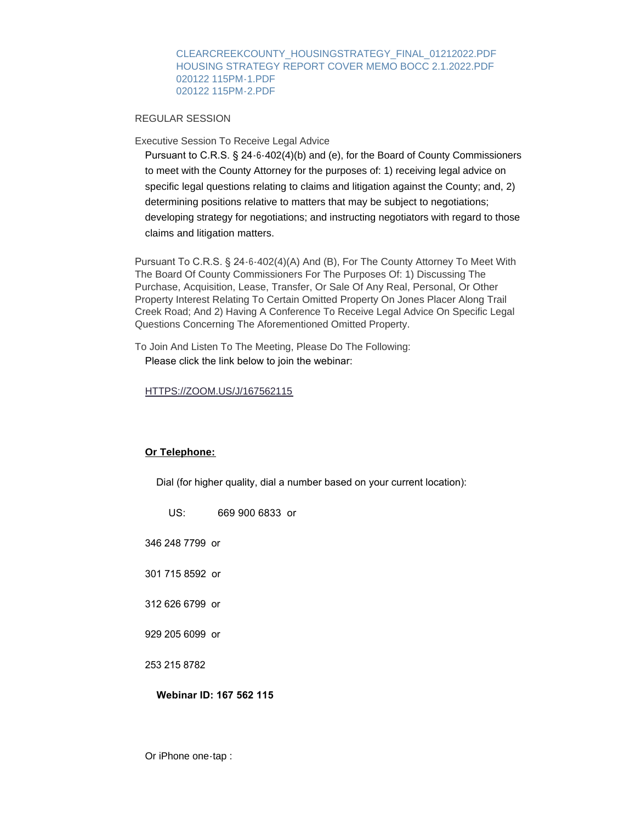[CLEARCREEKCOUNTY\\_HOUSINGSTRATEGY\\_FINAL\\_01212022.PDF](https://www.clearcreekcounty.us/AgendaCenter/ViewFile/Item/6743?fileID=10197) [HOUSING STRATEGY REPORT COVER MEMO BOCC 2.1.2022.PDF](https://www.clearcreekcounty.us/AgendaCenter/ViewFile/Item/6743?fileID=10198) [020122 115PM-1.PDF](https://www.clearcreekcounty.us/AgendaCenter/ViewFile/Item/6743?fileID=10199) [020122 115PM-2.PDF](https://www.clearcreekcounty.us/AgendaCenter/ViewFile/Item/6743?fileID=10200)

REGULAR SESSION

Executive Session To Receive Legal Advice

Pursuant to C.R.S. § 24-6-402(4)(b) and (e), for the Board of County Commissioners to meet with the County Attorney for the purposes of: 1) receiving legal advice on specific legal questions relating to claims and litigation against the County; and, 2) determining positions relative to matters that may be subject to negotiations; developing strategy for negotiations; and instructing negotiators with regard to those claims and litigation matters.

Pursuant To C.R.S. § 24-6-402(4)(A) And (B), For The County Attorney To Meet With The Board Of County Commissioners For The Purposes Of: 1) Discussing The Purchase, Acquisition, Lease, Transfer, Or Sale Of Any Real, Personal, Or Other Property Interest Relating To Certain Omitted Property On Jones Placer Along Trail Creek Road; And 2) Having A Conference To Receive Legal Advice On Specific Legal Questions Concerning The Aforementioned Omitted Property.

To Join And Listen To The Meeting, Please Do The Following: Please click the link below to join the webinar:

### [HTTPS://ZOOM.US/J/167562115](https://zoom.us/j/167562115)

### **Or Telephone:**

Dial (for higher quality, dial a number based on your current location):

### **Webinar ID: 167 562 115**

Or iPhone one-tap :